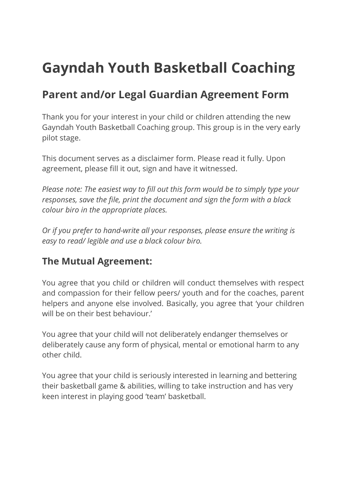# **Gayndah Youth Basketball Coaching**

## **Parent and/or Legal Guardian Agreement Form**

Thank you for your interest in your child or children attending the new Gayndah Youth Basketball Coaching group. This group is in the very early pilot stage.

This document serves as a disclaimer form. Please read it fully. Upon agreement, please fill it out, sign and have it witnessed.

*Please note: The easiest way to fill out this form would be to simply type your responses, save the file, print the document and sign the form with a black colour biro in the appropriate places.*

*Or if you prefer to hand-write all your responses, please ensure the writing is easy to read/ legible and use a black colour biro.* 

## **The Mutual Agreement:**

You agree that you child or children will conduct themselves with respect and compassion for their fellow peers/ youth and for the coaches, parent helpers and anyone else involved. Basically, you agree that 'your children will be on their best behaviour.'

You agree that your child will not deliberately endanger themselves or deliberately cause any form of physical, mental or emotional harm to any other child.

You agree that your child is seriously interested in learning and bettering their basketball game & abilities, willing to take instruction and has very keen interest in playing good 'team' basketball.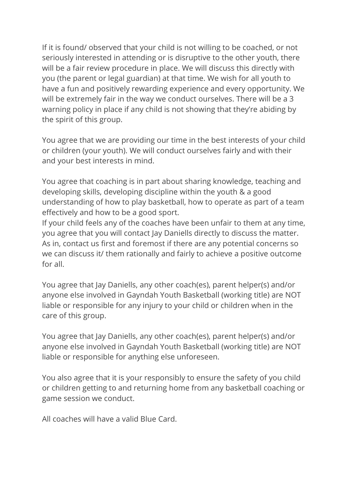If it is found/ observed that your child is not willing to be coached, or not seriously interested in attending or is disruptive to the other youth, there will be a fair review procedure in place. We will discuss this directly with you (the parent or legal guardian) at that time. We wish for all youth to have a fun and positively rewarding experience and every opportunity. We will be extremely fair in the way we conduct ourselves. There will be a 3 warning policy in place if any child is not showing that they're abiding by the spirit of this group.

You agree that we are providing our time in the best interests of your child or children (your youth). We will conduct ourselves fairly and with their and your best interests in mind.

You agree that coaching is in part about sharing knowledge, teaching and developing skills, developing discipline within the youth & a good understanding of how to play basketball, how to operate as part of a team effectively and how to be a good sport.

If your child feels any of the coaches have been unfair to them at any time, you agree that you will contact Jay Daniells directly to discuss the matter. As in, contact us first and foremost if there are any potential concerns so we can discuss it/ them rationally and fairly to achieve a positive outcome for all.

You agree that Jay Daniells, any other coach(es), parent helper(s) and/or anyone else involved in Gayndah Youth Basketball (working title) are NOT liable or responsible for any injury to your child or children when in the care of this group.

You agree that Jay Daniells, any other coach(es), parent helper(s) and/or anyone else involved in Gayndah Youth Basketball (working title) are NOT liable or responsible for anything else unforeseen.

You also agree that it is your responsibly to ensure the safety of you child or children getting to and returning home from any basketball coaching or game session we conduct.

All coaches will have a valid Blue Card.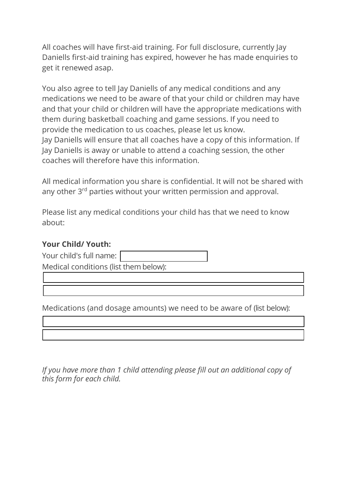All coaches will have first-aid training. For full disclosure, currently Jay Daniells first-aid training has expired, however he has made enquiries to get it renewed asap.

You also agree to tell Jay Daniells of any medical conditions and any medications we need to be aware of that your child or children may have and that your child or children will have the appropriate medications with them during basketball coaching and game sessions. If you need to provide the medication to us coaches, please let us know. Jay Daniells will ensure that all coaches have a copy of this information. If Jay Daniells is away or unable to attend a coaching session, the other coaches will therefore have this information.

All medical information you share is confidential. It will not be shared with any other 3<sup>rd</sup> parties without your written permission and approval.

Please list any medical conditions your child has that we need to know about:

### **Your Child/ Youth:**

Your child's full name:

Medical conditions (list them below):

Medications (and dosage amounts) we need to be aware of (list below):

*If you have more than 1 child attending please fill out an additional copy of this form for each child.*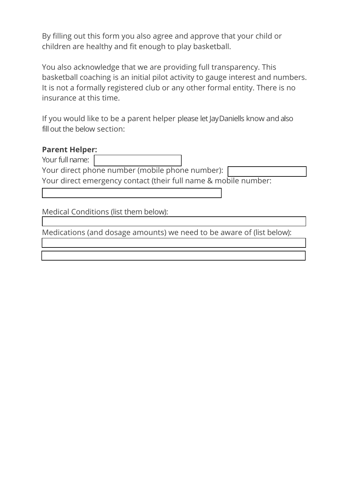By filling out this form you also agree and approve that your child or children are healthy and fit enough to play basketball.

You also acknowledge that we are providing full transparency. This basketball coaching is an initial pilot activity to gauge interest and numbers. It is not a formally registered club or any other formal entity. There is no insurance at this time.

If you would like to be a parent helper please let JayDaniells know and also fillout the below section:

### **Parent Helper:**

Your full name:

Your direct phone number (mobile phone number): Your direct emergency contact (their full name & mobile number:

Medical Conditions (list them below):

Medications (and dosage amounts) we need to be aware of (list below):